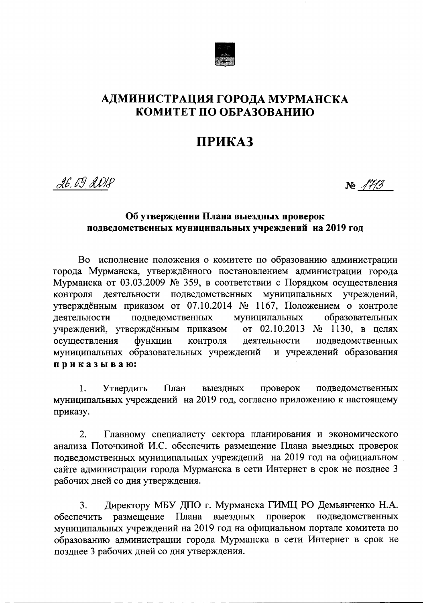

### АДМИНИСТРАЦИЯ ГОРОДА МУРМАНСКА КОМИТЕТ ПО ОБРАЗОВАНИЮ

# ПРИКАЗ

26.09 2018

 $N_2$  /7/3

### Об утверждении Плана выездных проверок подведомственных муниципальных учреждений на 2019 год

Во исполнение положения о комитете по образованию администрации города Мурманска, утверждённого постановлением администрации города Мурманска от 03.03.2009 № 359, в соответствии с Порядком осуществления деятельности подведомственных муниципальных учреждений, контроля утверждённым приказом от 07.10.2014 № 1167, Положением о контроле муниципальных образовательных деятельности подведомственных от 02.10.2013 № 1130, в целях учреждений, утверждённым приказом осуществления функции контроля деятельности подведомственных муниципальных образовательных учреждений и учреждений образования приказываю:

выездных 1. Утвердить План проверок подведомственных муниципальных учреждений на 2019 год, согласно приложению к настоящему приказу.

Главному специалисту сектора планирования и экономического  $2.$ анализа Поточкиной И.С. обеспечить размещение Плана выездных проверок подведомственных муниципальных учреждений на 2019 год на официальном сайте администрации города Мурманска в сети Интернет в срок не позднее 3 рабочих дней со дня утверждения.

Директору МБУ ДПО г. Мурманска ГИМЦ РО Демьянченко Н.А.  $3.$ размещение Плана выездных проверок подведомственных обеспечить муниципальных учреждений на 2019 год на официальном портале комитета по образованию администрации города Мурманска в сети Интернет в срок не позднее 3 рабочих дней со дня утверждения.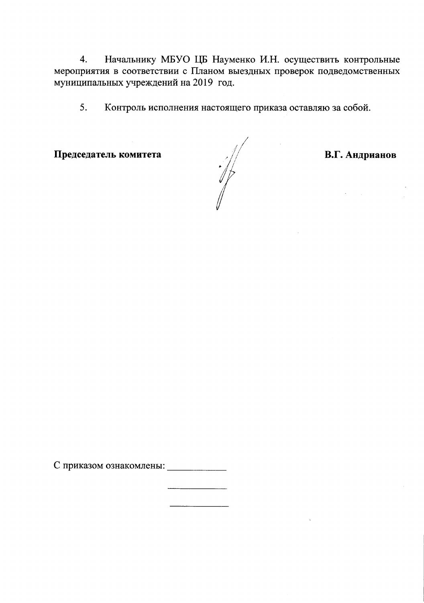Начальнику МБУО ЦБ Науменко И.Н. осуществить контрольные  $\overline{4}$ . мероприятия в соответствии с Планом выездных проверок подведомственных муниципальных учреждений на 2019 год.

5. Контроль исполнения настоящего приказа оставляю за собой.

Председатель комитета

 $\frac{1}{\sqrt{2}}$ 

В.Г. Андрианов

С приказом ознакомлены: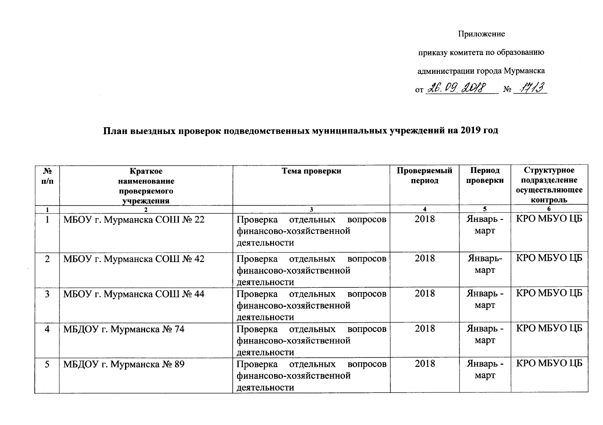#### Приложение

приказу комитета по образованию

администрации города Мурманска

or <u>26.09 2018</u> No 1713

## План выездных проверок подведомственных муниципальных учреждений на 2019 год

| N <sub>2</sub> | Краткое                    | Тема проверки                     | Проверяемый | Период   | Структурное    |
|----------------|----------------------------|-----------------------------------|-------------|----------|----------------|
| п/п            | наименование               |                                   | период      | проверки | подразделение  |
|                | проверяемого               |                                   |             |          | осуществляющее |
|                | учреждения                 |                                   |             |          | контроль       |
|                |                            | 3                                 | 4           | 5.       |                |
|                | МБОУ г. Мурманска СОШ № 22 | Проверка<br>отдельных<br>вопросов | 2018        | Январь - | КРО МБУО ЦБ    |
|                |                            | финансово-хозяйственной           |             | март     |                |
|                |                            | деятельности                      |             |          |                |
|                |                            |                                   |             |          |                |
| $\overline{2}$ | МБОУ г. Мурманска СОШ № 42 | Проверка<br>отдельных<br>вопросов | 2018        | Январь-  | КРО МБУО ЦБ    |
|                |                            | финансово-хозяйственной           |             | март     |                |
|                |                            | деятельности                      |             |          |                |
| 3 <sup>1</sup> | МБОУ г. Мурманска СОШ № 44 |                                   | 2018        | Январь - | KPO MEYO LIE   |
|                |                            | Проверка<br>отдельных<br>вопросов |             |          |                |
|                |                            | финансово-хозяйственной           |             | март     |                |
|                |                            | деятельности                      |             |          |                |
| 4              | МБДОУ г. Мурманска № 74    | Проверка<br>отдельных<br>вопросов | 2018        | Январь - | КРО МБУО ЦБ    |
|                |                            | финансово-хозяйственной           |             | март     |                |
|                |                            |                                   |             |          |                |
|                |                            | деятельности                      |             |          |                |
| 5              | МБДОУ г. Мурманска № 89    | Проверка<br>отдельных<br>вопросов | 2018        | Январь - | KPO MEYO LIE   |
|                |                            | финансово-хозяйственной           |             | март     |                |
|                |                            | деятельности                      |             |          |                |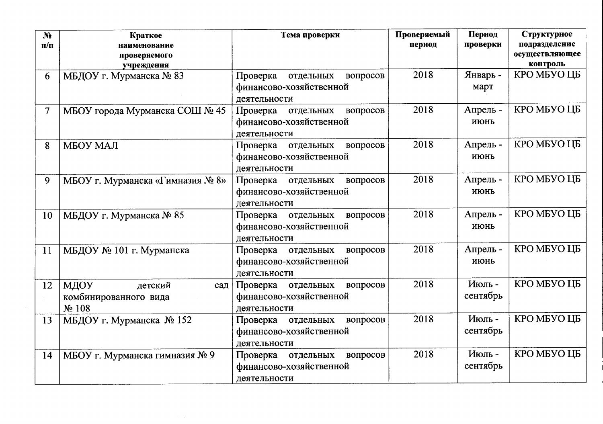| N <sub>2</sub><br>$\Pi/\Pi$ | Краткое<br>наименование<br>проверяемого<br>учреждения     | Тема проверки                                                                | Проверяемый<br>период | Период<br>проверки | Структурное<br>подразделение<br>осуществляющее<br>контроль |
|-----------------------------|-----------------------------------------------------------|------------------------------------------------------------------------------|-----------------------|--------------------|------------------------------------------------------------|
| 6                           | МБДОУ г. Мурманска № 83                                   | Проверка<br>отдельных<br>вопросов<br>финансово-хозяйственной<br>деятельности | 2018                  | Январь -<br>март   | КРО МБУО ЦБ                                                |
| $\overline{7}$              | МБОУ города Мурманска СОШ № 45                            | Проверка<br>отдельных<br>вопросов<br>финансово-хозяйственной<br>деятельности | 2018                  | Апрель -<br>июнь   | КРО МБУО ЦБ                                                |
| 8                           | МБОУ МАЛ                                                  | Проверка отдельных<br>вопросов<br>финансово-хозяйственной<br>деятельности    | 2018                  | Апрель -<br>июнь   | КРО МБУО ЦБ                                                |
| 9                           | МБОУ г. Мурманска «Гимназия № 8»                          | вопросов<br>Проверка<br>отдельных<br>финансово-хозяйственной<br>деятельности | 2018                  | Апрель -<br>июнь   | КРО МБУО ЦБ                                                |
| 10                          | МБДОУ г. Мурманска № 85                                   | отдельных<br>вопросов<br>Проверка<br>финансово-хозяйственной<br>деятельности | 2018                  | Апрель -<br>июнь   | КРО МБУО ЦБ                                                |
| 11                          | МБДОУ № 101 г. Мурманска                                  | Проверка отдельных<br>вопросов<br>финансово-хозяйственной<br>деятельности    | 2018                  | Апрель -<br>июнь   | КРО МБУО ЦБ                                                |
| 12                          | МДОУ<br>детский<br>сад<br>комбинированного вида<br>No 108 | вопросов<br>Проверка<br>отдельных<br>финансово-хозяйственной<br>деятельности | 2018                  | Июль-<br>сентябрь  | КРО МБУО ЦБ                                                |
| 13                          | МБДОУ г. Мурманска № 152                                  | Проверка отдельных<br>вопросов<br>финансово-хозяйственной<br>деятельности    | 2018                  | Июль-<br>сентябрь  | КРО МБУО ЦБ                                                |
| 14                          | МБОУ г. Мурманска гимназия № 9                            | Проверка отдельных<br>вопросов<br>финансово-хозяйственной<br>деятельности    | 2018                  | Июль-<br>сентябрь  | КРО МБУО ЦБ                                                |

 $\sim 100$